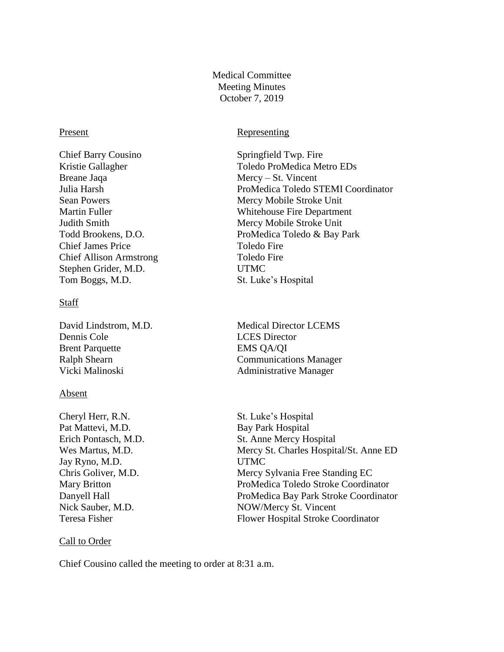Medical Committee Meeting Minutes October 7, 2019

Chief Barry Cousino Springfield Twp. Fire Breane Jaqa Mercy – St. Vincent Chief James Price Toledo Fire Chief Allison Armstrong Toledo Fire Stephen Grider, M.D. UTMC Tom Boggs, M.D. St. Luke's Hospital

### **Staff**

Dennis Cole LCES Director Brent Parquette EMS QA/QI

#### Absent

Cheryl Herr, R.N. St. Luke's Hospital Pat Mattevi, M.D. Bay Park Hospital Jay Ryno, M.D. UTMC

# Call to Order

Present Representing

Kristie Gallagher Toledo ProMedica Metro EDs Julia Harsh ProMedica Toledo STEMI Coordinator Sean Powers Mercy Mobile Stroke Unit Martin Fuller Whitehouse Fire Department Judith Smith Mercy Mobile Stroke Unit Todd Brookens, D.O. ProMedica Toledo & Bay Park

David Lindstrom, M.D. Medical Director LCEMS Ralph Shearn Communications Manager Vicki Malinoski Administrative Manager

Erich Pontasch, M.D. St. Anne Mercy Hospital Wes Martus, M.D. Mercy St. Charles Hospital/St. Anne ED Chris Goliver, M.D. Mercy Sylvania Free Standing EC Mary Britton ProMedica Toledo Stroke Coordinator Danyell Hall ProMedica Bay Park Stroke Coordinator Nick Sauber, M.D. NOW/Mercy St. Vincent Teresa Fisher Flower Hospital Stroke Coordinator

Chief Cousino called the meeting to order at 8:31 a.m.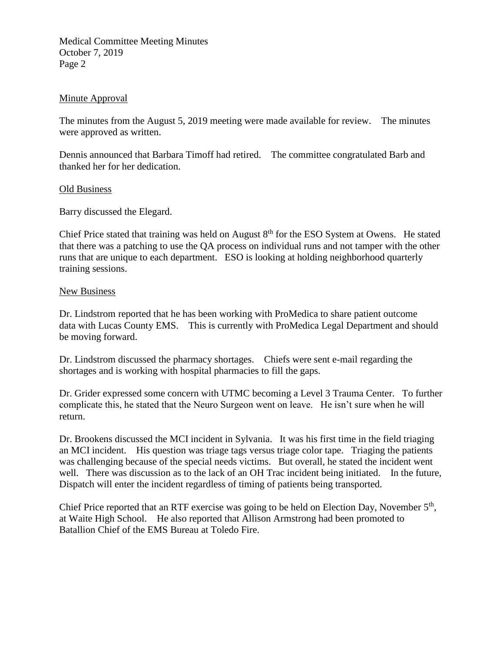Medical Committee Meeting Minutes October 7, 2019 Page 2

# Minute Approval

The minutes from the August 5, 2019 meeting were made available for review. The minutes were approved as written.

Dennis announced that Barbara Timoff had retired. The committee congratulated Barb and thanked her for her dedication.

# Old Business

Barry discussed the Elegard.

Chief Price stated that training was held on August 8<sup>th</sup> for the ESO System at Owens. He stated that there was a patching to use the QA process on individual runs and not tamper with the other runs that are unique to each department. ESO is looking at holding neighborhood quarterly training sessions.

### New Business

Dr. Lindstrom reported that he has been working with ProMedica to share patient outcome data with Lucas County EMS. This is currently with ProMedica Legal Department and should be moving forward.

Dr. Lindstrom discussed the pharmacy shortages. Chiefs were sent e-mail regarding the shortages and is working with hospital pharmacies to fill the gaps.

Dr. Grider expressed some concern with UTMC becoming a Level 3 Trauma Center. To further complicate this, he stated that the Neuro Surgeon went on leave. He isn't sure when he will return.

Dr. Brookens discussed the MCI incident in Sylvania. It was his first time in the field triaging an MCI incident. His question was triage tags versus triage color tape. Triaging the patients was challenging because of the special needs victims. But overall, he stated the incident went well. There was discussion as to the lack of an OH Trac incident being initiated. In the future, Dispatch will enter the incident regardless of timing of patients being transported.

Chief Price reported that an RTF exercise was going to be held on Election Day, November 5<sup>th</sup>, at Waite High School. He also reported that Allison Armstrong had been promoted to Batallion Chief of the EMS Bureau at Toledo Fire.